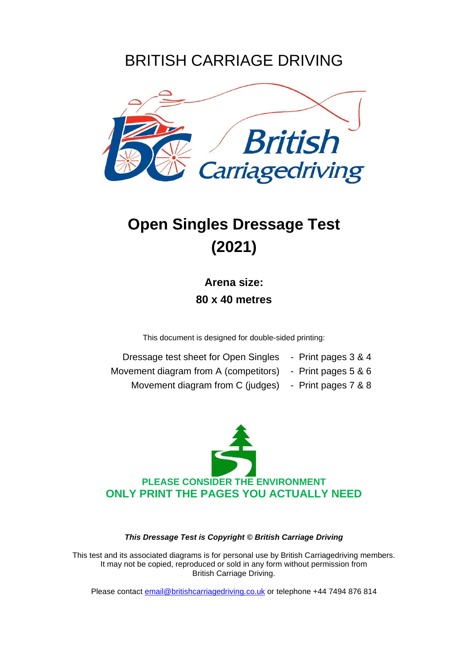### BRITISH CARRIAGE DRIVING



## **Open Singles Dressage Test (2021)**

**Arena size: 80 x 40 metres**

This document is designed for double-sided printing:

| Dressage test sheet for Open Singles  | - Print pages 3 & 4 |
|---------------------------------------|---------------------|
| Movement diagram from A (competitors) | - Print pages 5 & 6 |

Movement diagram from C (judges) - Print pages 7 & 8



*This Dressage Test is Copyright © British Carriage Driving*

This test and its associated diagrams is for personal use by British Carriagedriving members. It may not be copied, reproduced or sold in any form without permission from British Carriage Driving.

Please contact [email@britishcarriagedriving.co.uk](mailto:email@britishcarriagedriving.co.uk) or telephone +44 7494 876 814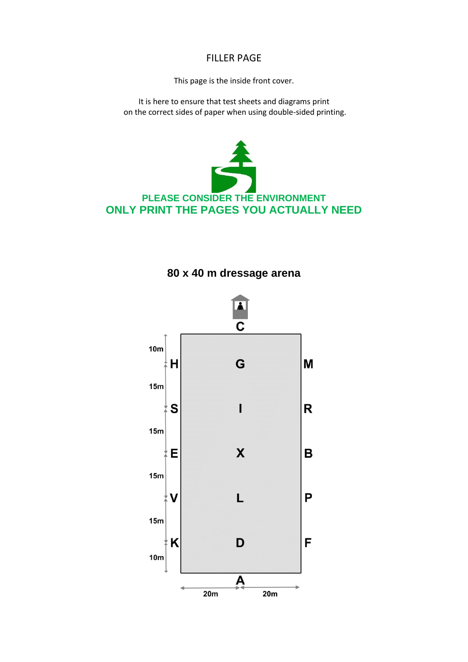#### FILLER PAGE

This page is the inside front cover.

It is here to ensure that test sheets and diagrams print on the correct sides of paper when using double-sided printing.





#### **80 x 40 m dressage arena**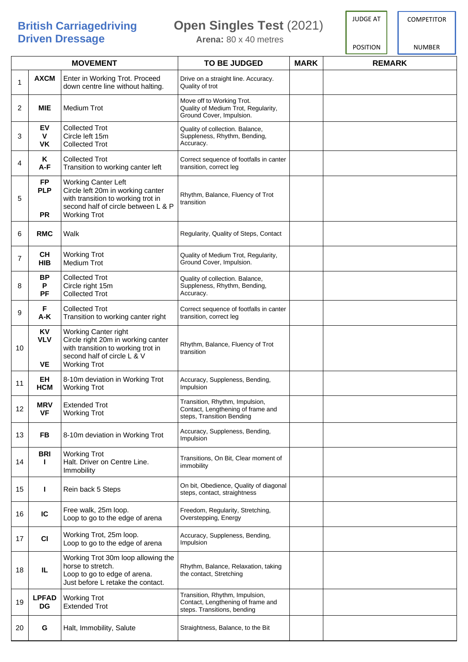## **Driven Dressage Arena:** 80 x 40 metres

#### **British Carriagedriving Open Singles Test** (2021)

JUDGE AT

POSITION

**COMPETITOR** 

NUMBER

| <b>MOVEMENT</b> |                                      |                                                                                                                                                                     | <b>TO BE JUDGED</b>                                                                                | <b>MARK</b> | <b>REMARK</b> |
|-----------------|--------------------------------------|---------------------------------------------------------------------------------------------------------------------------------------------------------------------|----------------------------------------------------------------------------------------------------|-------------|---------------|
| 1               | <b>AXCM</b>                          | Enter in Working Trot. Proceed<br>down centre line without halting.                                                                                                 | Drive on a straight line. Accuracy.<br>Quality of trot                                             |             |               |
| 2               | <b>MIE</b>                           | <b>Medium Trot</b>                                                                                                                                                  | Move off to Working Trot.<br>Quality of Medium Trot, Regularity,<br>Ground Cover, Impulsion.       |             |               |
| 3               | EV<br>$\mathbf{V}$<br><b>VK</b>      | <b>Collected Trot</b><br>Circle left 15m<br><b>Collected Trot</b>                                                                                                   | Quality of collection. Balance,<br>Suppleness, Rhythm, Bending,<br>Accuracy.                       |             |               |
| 4               | ĸ<br>A-F                             | <b>Collected Trot</b><br>Transition to working canter left                                                                                                          | Correct sequence of footfalls in canter<br>transition, correct leg                                 |             |               |
| 5               | <b>FP</b><br><b>PLP</b><br><b>PR</b> | <b>Working Canter Left</b><br>Circle left 20m in working canter<br>with transition to working trot in<br>second half of circle between L & P<br><b>Working Trot</b> | Rhythm, Balance, Fluency of Trot<br>transition                                                     |             |               |
| 6               | <b>RMC</b>                           | Walk                                                                                                                                                                | Regularity, Quality of Steps, Contact                                                              |             |               |
| $\overline{7}$  | <b>CH</b><br><b>HIB</b>              | <b>Working Trot</b><br><b>Medium Trot</b>                                                                                                                           | Quality of Medium Trot, Regularity,<br>Ground Cover, Impulsion.                                    |             |               |
| 8               | <b>BP</b><br>P<br><b>PF</b>          | <b>Collected Trot</b><br>Circle right 15m<br><b>Collected Trot</b>                                                                                                  | Quality of collection. Balance,<br>Suppleness, Rhythm, Bending,<br>Accuracy.                       |             |               |
| 9               | F<br>A-K                             | <b>Collected Trot</b><br>Transition to working canter right                                                                                                         | Correct sequence of footfalls in canter<br>transition, correct leg                                 |             |               |
| 10              | KV<br><b>VLV</b><br><b>VE</b>        | Working Canter right<br>Circle right 20m in working canter<br>with transition to working trot in<br>second half of circle L & V<br><b>Working Trot</b>              | Rhythm, Balance, Fluency of Trot<br>transition                                                     |             |               |
| 11              | EH<br><b>HCM</b>                     | 8-10m deviation in Working Trot<br><b>Working Trot</b>                                                                                                              | Accuracy, Suppleness, Bending,<br>Impulsion                                                        |             |               |
| 12              | <b>MRV</b><br><b>VF</b>              | <b>Extended Trot</b><br><b>Working Trot</b>                                                                                                                         | Transition, Rhythm, Impulsion,<br>Contact, Lengthening of frame and<br>steps, Transition Bending   |             |               |
| 13              | FB                                   | 8-10m deviation in Working Trot                                                                                                                                     | Accuracy, Suppleness, Bending,<br>Impulsion                                                        |             |               |
| 14              | <b>BRI</b><br>Ι.                     | <b>Working Trot</b><br>Halt. Driver on Centre Line.<br>Immobility                                                                                                   | Transitions, On Bit, Clear moment of<br>immobility                                                 |             |               |
| 15              | L                                    | Rein back 5 Steps                                                                                                                                                   | On bit, Obedience, Quality of diagonal<br>steps, contact, straightness                             |             |               |
| 16              | IC                                   | Free walk, 25m loop.<br>Loop to go to the edge of arena                                                                                                             | Freedom, Regularity, Stretching,<br>Overstepping, Energy                                           |             |               |
| 17              | CI                                   | Working Trot, 25m loop.<br>Loop to go to the edge of arena                                                                                                          | Accuracy, Suppleness, Bending,<br>Impulsion                                                        |             |               |
| 18              | IL.                                  | Working Trot 30m loop allowing the<br>horse to stretch.<br>Loop to go to edge of arena.<br>Just before L retake the contact.                                        | Rhythm, Balance, Relaxation, taking<br>the contact, Stretching                                     |             |               |
| 19              | <b>LPFAD</b><br>DG                   | <b>Working Trot</b><br><b>Extended Trot</b>                                                                                                                         | Transition, Rhythm, Impulsion,<br>Contact, Lengthening of frame and<br>steps. Transitions, bending |             |               |
| 20              | G                                    | Halt, Immobility, Salute                                                                                                                                            | Straightness, Balance, to the Bit                                                                  |             |               |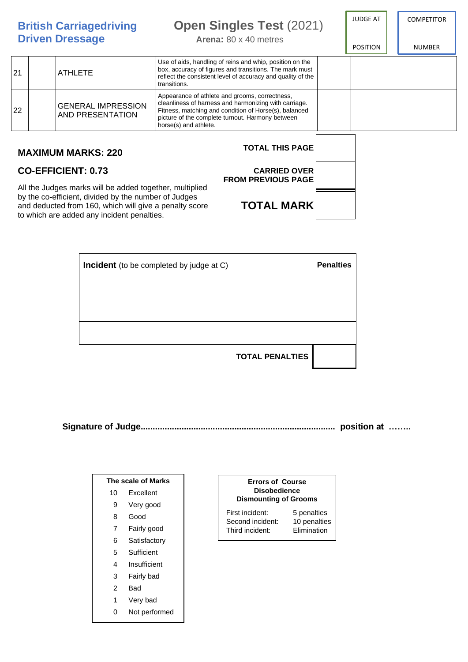**British Carriagedriving Open Singles Test** (2021) **Driven Dressage Arena**: 80 x 40 metres **COMPETITOR** NUMBER JUDGE AT POSITION 21 **ATHLETE** Use of aids, handling of reins and whip, position on the box, accuracy of figures and transitions. The mark must reflect the consistent level of accuracy and quality of the transitions. 22 GENERAL IMPRESSION AND PRESENTATION Appearance of athlete and grooms, correctness, cleanliness of harness and harmonizing with carriage. Fitness, matching and condition of Horse(s), balanced picture of the complete turnout. Harmony between horse(s) and athlete. **MAXIMUM MARKS: 220 CO-EFFICIENT: 0.73 TOTAL THIS PAGE CARRIED OVER**

**FROM PREVIOUS PAGE**

**TOTAL MARK**

All the Judges marks will be added together, multiplied by the co-efficient, divided by the number of Judges and deducted from 160, which will give a penalty score to which are added any incident penalties.

| <b>Incident</b> (to be completed by judge at C) | <b>Penalties</b> |
|-------------------------------------------------|------------------|
|                                                 |                  |
|                                                 |                  |
|                                                 |                  |
| <b>TOTAL PENALTIES</b>                          |                  |

**Signature of Judge................................................................................. position at ……..**

| The scale of Marks |               |  |  |  |  |
|--------------------|---------------|--|--|--|--|
| 10                 | Excellent     |  |  |  |  |
| 9                  | Very good     |  |  |  |  |
| 8                  | Good          |  |  |  |  |
| 7                  | Fairly good   |  |  |  |  |
| 6                  | Satisfactory  |  |  |  |  |
| 5                  | Sufficient    |  |  |  |  |
| 4                  | Insufficient  |  |  |  |  |
| 3                  | Fairly bad    |  |  |  |  |
| 2                  | Bad           |  |  |  |  |
| 1                  | Very bad      |  |  |  |  |
| 0                  | Not performed |  |  |  |  |

#### **Errors of Course Disobedience Dismounting of Grooms**

First incident: 5 penalties<br>Second incident: 10 penalties Second incident: 10 penalties<br>Third incident: Elimination Third incident: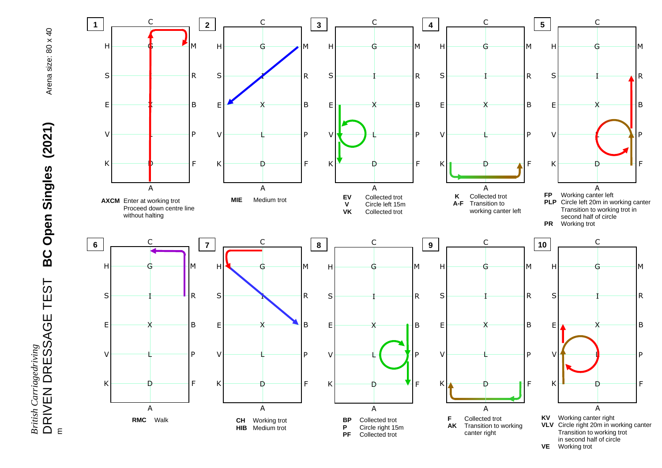## Arena size: 80 x 40



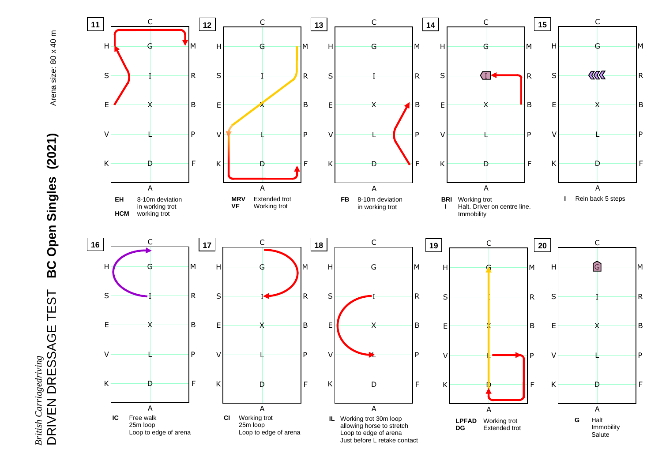# Arena size: 80 x 40 m

# DRIVEN DRESSAGE TEST **BC Open Singles (2021)** Arena size: 80 x 40 m BC Open Singles (2021) **British Carriagedriving<br>DRIVEN DRESSAGE TEST** *British Carriagedriving*

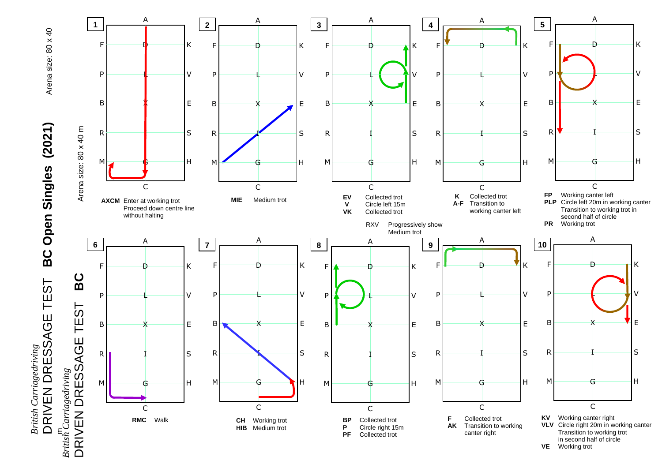

Arena size: 80 x 40

೯ನ *British Carriagedriving*